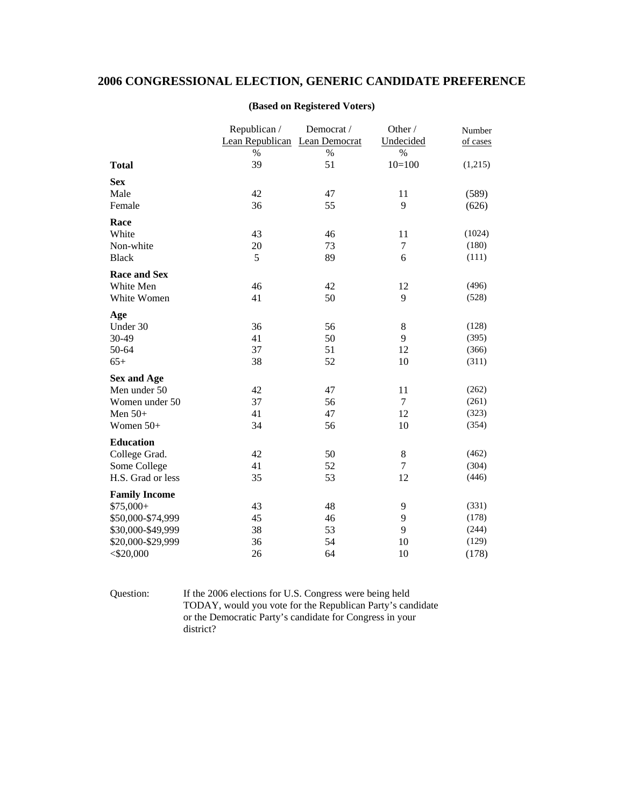## **2006 CONGRESSIONAL ELECTION, GENERIC CANDIDATE PREFERENCE**

|                      | Republican /                  | Democrat / | Other /        | Number         |
|----------------------|-------------------------------|------------|----------------|----------------|
|                      | Lean Republican Lean Democrat |            | Undecided      | of cases       |
|                      | $\%$                          | $\%$       | $\%$           |                |
| <b>Total</b>         | 39                            | 51         | $10=100$       | (1,215)        |
| <b>Sex</b>           |                               |            |                |                |
| Male                 | 42                            | 47         | 11             | (589)          |
| Female               | 36                            | 55         | 9              | (626)          |
| Race                 |                               |            |                |                |
| White                | 43                            | 46         | 11             | (1024)         |
| Non-white            | 20                            | 73         | 7              | (180)          |
| <b>Black</b>         | 5                             | 89         | 6              | (111)          |
| <b>Race and Sex</b>  |                               |            |                |                |
| White Men            | 46                            | 42         | 12             | (496)          |
| White Women          | 41                            | 50         | 9              | (528)          |
|                      |                               |            |                |                |
| Age                  |                               |            |                |                |
| Under 30             | 36                            | 56         | 8              | (128)          |
| 30-49                | 41                            | 50         | 9              | (395)          |
| 50-64<br>$65+$       | 37<br>38                      | 51<br>52   | 12<br>10       | (366)<br>(311) |
|                      |                               |            |                |                |
| <b>Sex and Age</b>   |                               |            |                |                |
| Men under 50         | 42                            | 47         | 11             | (262)          |
| Women under 50       | 37                            | 56         | $\tau$         | (261)          |
| Men $50+$            | 41                            | 47         | 12             | (323)          |
| Women 50+            | 34                            | 56         | 10             | (354)          |
| <b>Education</b>     |                               |            |                |                |
| College Grad.        | 42                            | 50         | 8              | (462)          |
| Some College         | 41                            | 52         | $\overline{7}$ | (304)          |
| H.S. Grad or less    | 35                            | 53         | 12             | (446)          |
| <b>Family Income</b> |                               |            |                |                |
| $$75,000+$           | 43                            | 48         | 9              | (331)          |
| \$50,000-\$74,999    | 45                            | 46         | 9              | (178)          |
| \$30,000-\$49,999    | 38                            | 53         | 9              | (244)          |
| \$20,000-\$29,999    | 36                            | 54         | 10             | (129)          |
| $<$ \$20,000         | 26                            | 64         | 10             | (178)          |

## **(Based on Registered Voters)**

Question: If the 2006 elections for U.S. Congress were being held TODAY, would you vote for the Republican Party's candidate or the Democratic Party's candidate for Congress in your district?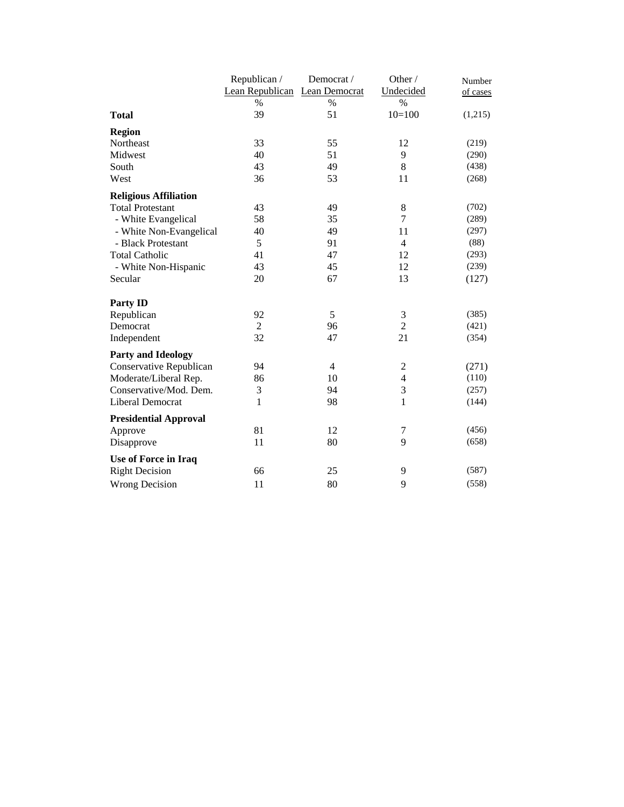|                              | Republican /                  | Democrat / | Other /        | Number   |
|------------------------------|-------------------------------|------------|----------------|----------|
|                              | Lean Republican Lean Democrat |            | Undecided      | of cases |
|                              | $\%$                          | $\%$       | $\%$           |          |
| <b>Total</b>                 | 39                            | 51         | $10=100$       | (1,215)  |
| <b>Region</b>                |                               |            |                |          |
| Northeast                    | 33                            | 55         | 12             | (219)    |
| Midwest                      | 40                            | 51         | 9              | (290)    |
| South                        | 43                            | 49         | 8              | (438)    |
| West                         | 36                            | 53         | 11             | (268)    |
| <b>Religious Affiliation</b> |                               |            |                |          |
| <b>Total Protestant</b>      | 43                            | 49         | $\,8$          | (702)    |
| - White Evangelical          | 58                            | 35         | $\overline{7}$ | (289)    |
| - White Non-Evangelical      | 40                            | 49         | 11             | (297)    |
| - Black Protestant           | 5                             | 91         | $\overline{4}$ | (88)     |
| <b>Total Catholic</b>        | 41                            | 47         | 12             | (293)    |
| - White Non-Hispanic         | 43                            | 45         | 12             | (239)    |
| Secular                      | 20                            | 67         | 13             | (127)    |
| <b>Party ID</b>              |                               |            |                |          |
| Republican                   | 92                            | 5          | $\mathfrak{Z}$ | (385)    |
| Democrat                     | $\overline{2}$                | 96         | $\overline{2}$ | (421)    |
| Independent                  | 32                            | 47         | 21             | (354)    |
| <b>Party and Ideology</b>    |                               |            |                |          |
| Conservative Republican      | 94                            | 4          | $\mathfrak 2$  | (271)    |
| Moderate/Liberal Rep.        | 86                            | 10         | $\overline{4}$ | (110)    |
| Conservative/Mod. Dem.       | $\mathfrak{Z}$                | 94         | $\mathfrak{Z}$ | (257)    |
| Liberal Democrat             | $\mathbf{1}$                  | 98         | $\mathbf{1}$   | (144)    |
| <b>Presidential Approval</b> |                               |            |                |          |
| Approve                      | 81                            | 12         | 7              | (456)    |
| Disapprove                   | 11                            | 80         | 9              | (658)    |
| Use of Force in Iraq         |                               |            |                |          |
| <b>Right Decision</b>        | 66                            | 25         | 9              | (587)    |
| <b>Wrong Decision</b>        | 11                            | 80         | 9              | (558)    |
|                              |                               |            |                |          |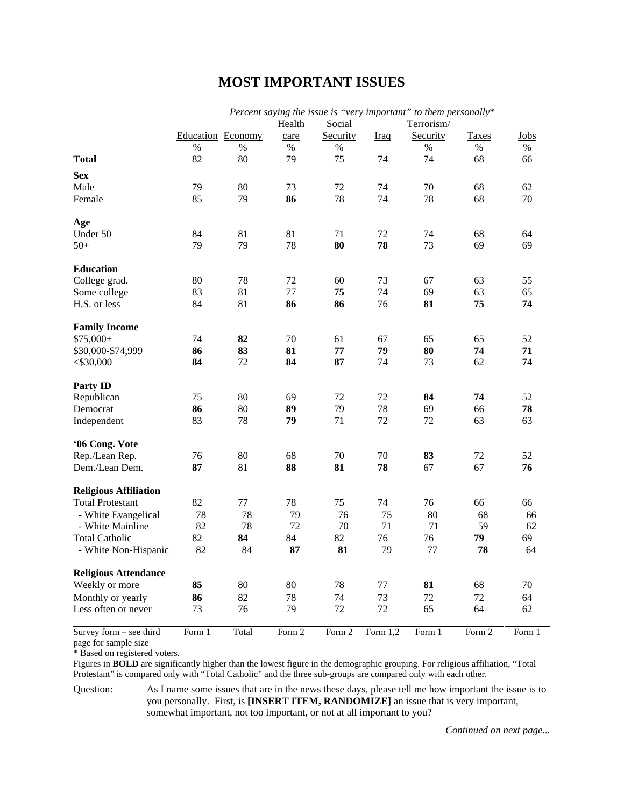## **MOST IMPORTANT ISSUES**

|                              | r erecht saytus<br><i>tree toopee to</i><br>rei y miportani<br><i>to mem personance</i><br>Health<br>Social<br>Terrorism/ |        |        |          |             |          |              |        |
|------------------------------|---------------------------------------------------------------------------------------------------------------------------|--------|--------|----------|-------------|----------|--------------|--------|
|                              | Education Economy                                                                                                         |        | care   | Security | <b>Iraq</b> | Security | <b>Taxes</b> | Jobs   |
|                              | $\%$                                                                                                                      | $\%$   | $\%$   | $\%$     |             | $\%$     | %            | %      |
| <b>Total</b>                 | 82                                                                                                                        | 80     | 79     | 75       | 74          | 74       | 68           | 66     |
| <b>Sex</b>                   |                                                                                                                           |        |        |          |             |          |              |        |
| Male                         | 79                                                                                                                        | 80     | 73     | 72       | 74          | 70       | 68           | 62     |
| Female                       | 85                                                                                                                        | 79     | 86     | 78       | 74          | 78       | 68           | 70     |
| Age                          |                                                                                                                           |        |        |          |             |          |              |        |
| Under 50                     | 84                                                                                                                        | 81     | 81     | 71       | 72          | 74       | 68           | 64     |
| $50+$                        | 79                                                                                                                        | 79     | 78     | 80       | 78          | 73       | 69           | 69     |
| <b>Education</b>             |                                                                                                                           |        |        |          |             |          |              |        |
| College grad.                | 80                                                                                                                        | 78     | 72     | 60       | 73          | 67       | 63           | 55     |
| Some college                 | 83                                                                                                                        | 81     | 77     | 75       | 74          | 69       | 63           | 65     |
| H.S. or less                 | 84                                                                                                                        | 81     | 86     | 86       | 76          | 81       | 75           | 74     |
| <b>Family Income</b>         |                                                                                                                           |        |        |          |             |          |              |        |
| $$75,000+$                   | 74                                                                                                                        | 82     | 70     | 61       | 67          | 65       | 65           | 52     |
| \$30,000-\$74,999            | 86                                                                                                                        | 83     | 81     | 77       | 79          | 80       | 74           | 71     |
| $<$ \$30,000                 | 84                                                                                                                        | 72     | 84     | 87       | 74          | 73       | 62           | 74     |
| <b>Party ID</b>              |                                                                                                                           |        |        |          |             |          |              |        |
| Republican                   | 75                                                                                                                        | 80     | 69     | 72       | 72          | 84       | 74           | 52     |
| Democrat                     | 86                                                                                                                        | 80     | 89     | 79       | 78          | 69       | 66           | 78     |
| Independent                  | 83                                                                                                                        | 78     | 79     | 71       | 72          | 72       | 63           | 63     |
| '06 Cong. Vote               |                                                                                                                           |        |        |          |             |          |              |        |
| Rep./Lean Rep.               | 76                                                                                                                        | $80\,$ | 68     | 70       | 70          | 83       | 72           | 52     |
| Dem./Lean Dem.               | 87                                                                                                                        | 81     | 88     | 81       | 78          | 67       | 67           | 76     |
| <b>Religious Affiliation</b> |                                                                                                                           |        |        |          |             |          |              |        |
| <b>Total Protestant</b>      | 82                                                                                                                        | 77     | 78     | 75       | 74          | 76       | 66           | 66     |
| - White Evangelical          | 78                                                                                                                        | 78     | 79     | 76       | 75          | 80       | 68           | 66     |
| - White Mainline             | 82                                                                                                                        | 78     | 72     | 70       | 71          | 71       | 59           | 62     |
| <b>Total Catholic</b>        | 82                                                                                                                        | 84     | 84     | 82       | 76          | 76       | 79           | 69     |
| - White Non-Hispanic         | 82                                                                                                                        | 84     | 87     | 81       | 79          | 77       | 78           | 64     |
| <b>Religious Attendance</b>  |                                                                                                                           |        |        |          |             |          |              |        |
| Weekly or more               | 85                                                                                                                        | 80     | 80     | 78       | 77          | 81       | 68           | 70     |
| Monthly or yearly            | 86                                                                                                                        | 82     | 78     | 74       | 73          | 72       | 72           | 64     |
| Less often or never          | 73                                                                                                                        | 76     | 79     | 72       | 72          | 65       | 64           | 62     |
| Survey form - see third      | Form 1                                                                                                                    | Total  | Form 2 | Form 2   | Form $1,2$  | Form 1   | Form 2       | Form 1 |

*Percent saying the issue is "very important" to them personally*\*

page for sample size

\* Based on registered voters.

Figures in **BOLD** are significantly higher than the lowest figure in the demographic grouping. For religious affiliation, "Total Protestant" is compared only with "Total Catholic" and the three sub-groups are compared only with each other.

Question: As I name some issues that are in the news these days, please tell me how important the issue is to you personally. First, is **[INSERT ITEM, RANDOMIZE]** an issue that is very important, somewhat important, not too important, or not at all important to you?

*Continued on next page...*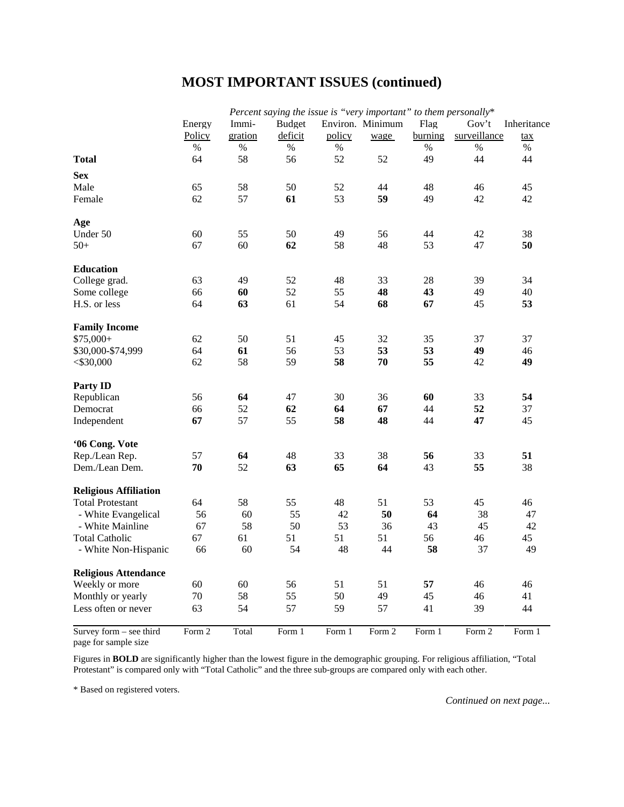## **MOST IMPORTANT ISSUES (continued)**

|                              | Percent saying the issue is "very important" to them personally* |         |               |        |                  |         |              |             |
|------------------------------|------------------------------------------------------------------|---------|---------------|--------|------------------|---------|--------------|-------------|
|                              | Energy                                                           | Immi-   | <b>Budget</b> |        | Environ. Minimum | Flag    | Gov't        | Inheritance |
|                              | Policy                                                           | gration | deficit       | policy | wage             | burning | surveillance | tax         |
|                              | $\%$                                                             | %       | $\%$          | $\%$   |                  | %       | $\%$         | $\%$        |
| <b>Total</b>                 | 64                                                               | 58      | 56            | 52     | 52               | 49      | 44           | 44          |
| <b>Sex</b>                   |                                                                  |         |               |        |                  |         |              |             |
| Male                         | 65                                                               | 58      | 50            | 52     | 44               | 48      | 46           | 45          |
| Female                       | 62                                                               | 57      | 61            | 53     | 59               | 49      | 42           | 42          |
| Age                          |                                                                  |         |               |        |                  |         |              |             |
| Under 50                     | 60                                                               | 55      | 50            | 49     | 56               | 44      | 42           | 38          |
| $50+$                        | 67                                                               | 60      | 62            | 58     | 48               | 53      | 47           | 50          |
|                              |                                                                  |         |               |        |                  |         |              |             |
| <b>Education</b>             |                                                                  |         |               |        |                  |         |              |             |
| College grad.                | 63                                                               | 49      | 52            | 48     | 33               | 28      | 39           | 34          |
| Some college                 | 66                                                               | 60      | 52            | 55     | 48               | 43      | 49           | 40          |
| H.S. or less                 | 64                                                               | 63      | 61            | 54     | 68               | 67      | 45           | 53          |
| <b>Family Income</b>         |                                                                  |         |               |        |                  |         |              |             |
| $$75,000+$                   | 62                                                               | 50      | 51            | 45     | 32               | 35      | 37           | 37          |
| \$30,000-\$74,999            | 64                                                               | 61      | 56            | 53     | 53               | 53      | 49           | 46          |
| $<$ \$30,000                 | 62                                                               | 58      | 59            | 58     | 70               | 55      | 42           | 49          |
| <b>Party ID</b>              |                                                                  |         |               |        |                  |         |              |             |
| Republican                   | 56                                                               | 64      | 47            | 30     | 36               | 60      | 33           | 54          |
| Democrat                     | 66                                                               | 52      | 62            | 64     | 67               | 44      | 52           | 37          |
| Independent                  | 67                                                               | 57      | 55            | 58     | 48               | 44      | 47           | 45          |
|                              |                                                                  |         |               |        |                  |         |              |             |
| '06 Cong. Vote               |                                                                  |         |               |        |                  |         |              |             |
| Rep./Lean Rep.               | 57                                                               | 64      | 48            | 33     | 38               | 56      | 33           | 51          |
| Dem./Lean Dem.               | 70                                                               | 52      | 63            | 65     | 64               | 43      | 55           | 38          |
| <b>Religious Affiliation</b> |                                                                  |         |               |        |                  |         |              |             |
| <b>Total Protestant</b>      | 64                                                               | 58      | 55            | 48     | 51               | 53      | 45           | 46          |
| - White Evangelical          | 56                                                               | 60      | 55            | 42     | 50               | 64      | 38           | 47          |
| - White Mainline             | 67                                                               | 58      | 50            | 53     | 36               | 43      | 45           | 42          |
| <b>Total Catholic</b>        | 67                                                               | 61      | 51            | 51     | 51               | 56      | 46           | 45          |
| - White Non-Hispanic         | 66                                                               | 60      | 54            | 48     | 44               | 58      | 37           | 49          |
|                              |                                                                  |         |               |        |                  |         |              |             |
| <b>Religious Attendance</b>  |                                                                  |         |               |        |                  |         |              |             |
| Weekly or more               | 60                                                               | 60      | 56            | 51     | 51               | 57      | 46           | 46          |
| Monthly or yearly            | 70                                                               | 58      | 55            | 50     | 49               | 45      | 46           | 41          |
| Less often or never          | 63                                                               | 54      | 57            | 59     | 57               | 41      | 39           | 44          |
| Survey form - see third      | Form 2                                                           | Total   | Form 1        | Form 1 | Form 2           | Form 1  | Form 2       | Form 1      |

page for sample size

Figures in **BOLD** are significantly higher than the lowest figure in the demographic grouping. For religious affiliation, "Total Protestant" is compared only with "Total Catholic" and the three sub-groups are compared only with each other.

\* Based on registered voters.

*Continued on next page...*